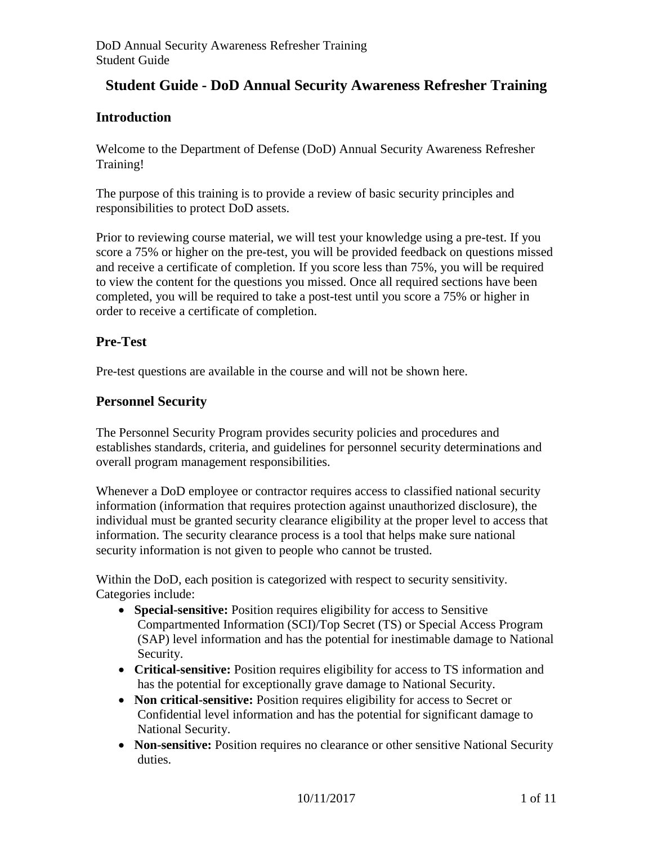# **Student Guide - DoD Annual Security Awareness Refresher Training**

# **Introduction**

Welcome to the Department of Defense (DoD) Annual Security Awareness Refresher Training!

The purpose of this training is to provide a review of basic security principles and responsibilities to protect DoD assets.

Prior to reviewing course material, we will test your knowledge using a pre-test. If you score a 75% or higher on the pre-test, you will be provided feedback on questions missed and receive a certificate of completion. If you score less than 75%, you will be required to view the content for the questions you missed. Once all required sections have been completed, you will be required to take a post-test until you score a 75% or higher in order to receive a certificate of completion.

# **Pre-Test**

Pre-test questions are available in the course and will not be shown here.

## **Personnel Security**

The Personnel Security Program provides security policies and procedures and establishes standards, criteria, and guidelines for personnel security determinations and overall program management responsibilities.

Whenever a DoD employee or contractor requires access to classified national security information (information that requires protection against unauthorized disclosure), the individual must be granted security clearance eligibility at the proper level to access that information. The security clearance process is a tool that helps make sure national security information is not given to people who cannot be trusted.

Within the DoD, each position is categorized with respect to security sensitivity. Categories include:

- **Special-sensitive:** Position requires eligibility for access to Sensitive Compartmented Information (SCI)/Top Secret (TS) or Special Access Program (SAP) level information and has the potential for inestimable damage to National Security.
- **Critical-sensitive:** Position requires eligibility for access to TS information and has the potential for exceptionally grave damage to National Security.
- **Non critical-sensitive:** Position requires eligibility for access to Secret or Confidential level information and has the potential for significant damage to National Security.
- **Non-sensitive:** Position requires no clearance or other sensitive National Security duties.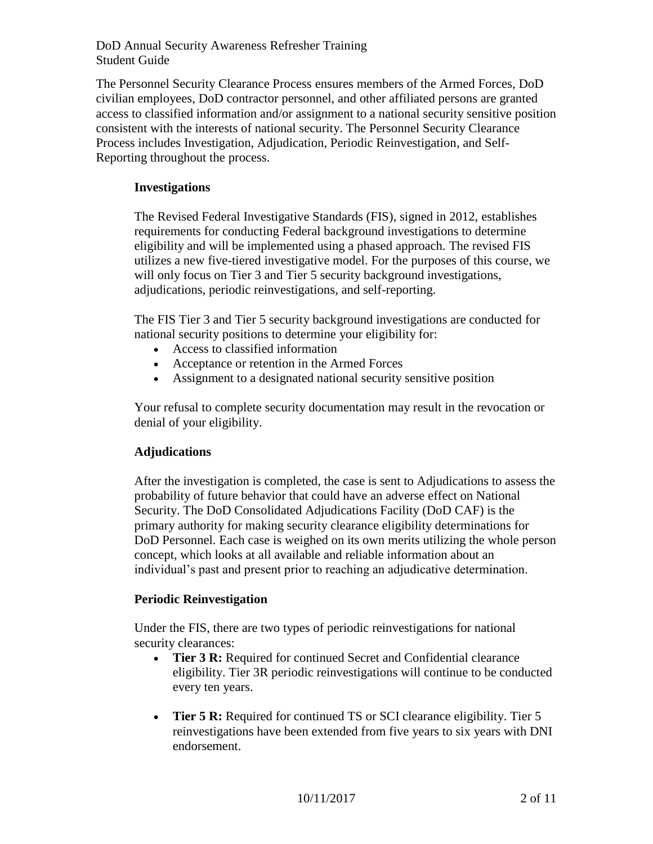The Personnel Security Clearance Process ensures members of the Armed Forces, DoD civilian employees, DoD contractor personnel, and other affiliated persons are granted access to classified information and/or assignment to a national security sensitive position consistent with the interests of national security. The Personnel Security Clearance Process includes Investigation, Adjudication, Periodic Reinvestigation, and Self-Reporting throughout the process.

### **Investigations**

The Revised Federal Investigative Standards (FIS), signed in 2012, establishes requirements for conducting Federal background investigations to determine eligibility and will be implemented using a phased approach. The revised FIS utilizes a new five-tiered investigative model. For the purposes of this course, we will only focus on Tier 3 and Tier 5 security background investigations, adjudications, periodic reinvestigations, and self-reporting.

The FIS Tier 3 and Tier 5 security background investigations are conducted for national security positions to determine your eligibility for:

- Access to classified information
- Acceptance or retention in the Armed Forces
- Assignment to a designated national security sensitive position

Your refusal to complete security documentation may result in the revocation or denial of your eligibility.

### **Adjudications**

After the investigation is completed, the case is sent to Adjudications to assess the probability of future behavior that could have an adverse effect on National Security. The DoD Consolidated Adjudications Facility (DoD CAF) is the primary authority for making security clearance eligibility determinations for DoD Personnel. Each case is weighed on its own merits utilizing the whole person concept, which looks at all available and reliable information about an individual's past and present prior to reaching an adjudicative determination.

#### **Periodic Reinvestigation**

Under the FIS, there are two types of periodic reinvestigations for national security clearances:

- **Tier 3 R:** Required for continued Secret and Confidential clearance eligibility. Tier 3R periodic reinvestigations will continue to be conducted every ten years.
- Tier 5 R: Required for continued TS or SCI clearance eligibility. Tier 5 reinvestigations have been extended from five years to six years with DNI endorsement.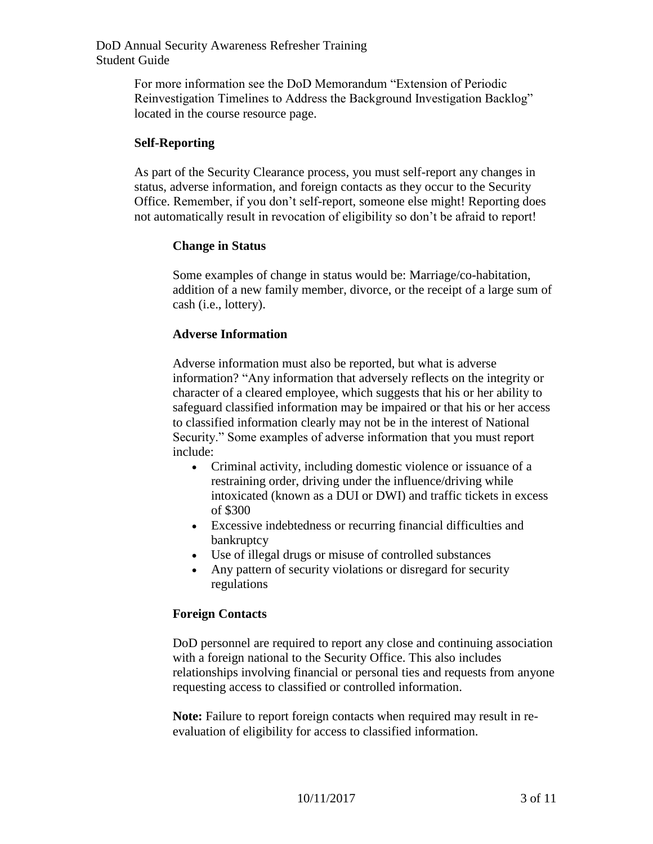> For more information see the DoD Memorandum "Extension of Periodic Reinvestigation Timelines to Address the Background Investigation Backlog" located in the course resource page.

#### **Self-Reporting**

As part of the Security Clearance process, you must self-report any changes in status, adverse information, and foreign contacts as they occur to the Security Office. Remember, if you don't self-report, someone else might! Reporting does not automatically result in revocation of eligibility so don't be afraid to report!

#### **Change in Status**

Some examples of change in status would be: Marriage/co-habitation, addition of a new family member, divorce, or the receipt of a large sum of cash (i.e., lottery).

#### **Adverse Information**

Adverse information must also be reported, but what is adverse information? "Any information that adversely reflects on the integrity or character of a cleared employee, which suggests that his or her ability to safeguard classified information may be impaired or that his or her access to classified information clearly may not be in the interest of National Security." Some examples of adverse information that you must report include:

- Criminal activity, including domestic violence or issuance of a restraining order, driving under the influence/driving while intoxicated (known as a DUI or DWI) and traffic tickets in excess of \$300
- Excessive indebtedness or recurring financial difficulties and bankruptcy
- Use of illegal drugs or misuse of controlled substances
- Any pattern of security violations or disregard for security regulations

#### **Foreign Contacts**

DoD personnel are required to report any close and continuing association with a foreign national to the Security Office. This also includes relationships involving financial or personal ties and requests from anyone requesting access to classified or controlled information.

**Note:** Failure to report foreign contacts when required may result in reevaluation of eligibility for access to classified information.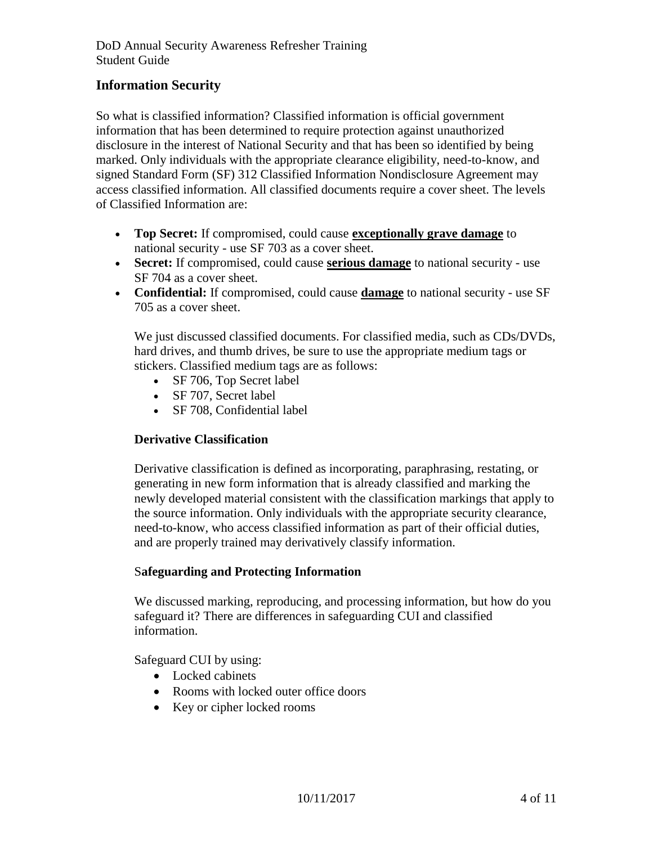# **Information Security**

So what is classified information? Classified information is official government information that has been determined to require protection against unauthorized disclosure in the interest of National Security and that has been so identified by being marked. Only individuals with the appropriate clearance eligibility, need-to-know, and signed Standard Form (SF) 312 Classified Information Nondisclosure Agreement may access classified information. All classified documents require a cover sheet. The levels of Classified Information are:

- **Top Secret:** If compromised, could cause **exceptionally grave damage** to national security - use SF 703 as a cover sheet.
- **Secret:** If compromised, could cause **serious damage** to national security use SF 704 as a cover sheet.
- **Confidential:** If compromised, could cause **damage** to national security use SF 705 as a cover sheet.

We just discussed classified documents. For classified media, such as CDs/DVDs, hard drives, and thumb drives, be sure to use the appropriate medium tags or stickers. Classified medium tags are as follows:

- SF 706, Top Secret label
- SF 707, Secret label
- SF 708, Confidential label

## **Derivative Classification**

Derivative classification is defined as incorporating, paraphrasing, restating, or generating in new form information that is already classified and marking the newly developed material consistent with the classification markings that apply to the source information. Only individuals with the appropriate security clearance, need-to-know, who access classified information as part of their official duties, and are properly trained may derivatively classify information.

### S**afeguarding and Protecting Information**

We discussed marking, reproducing, and processing information, but how do you safeguard it? There are differences in safeguarding CUI and classified information.

Safeguard CUI by using:

- Locked cabinets
- Rooms with locked outer office doors
- Key or cipher locked rooms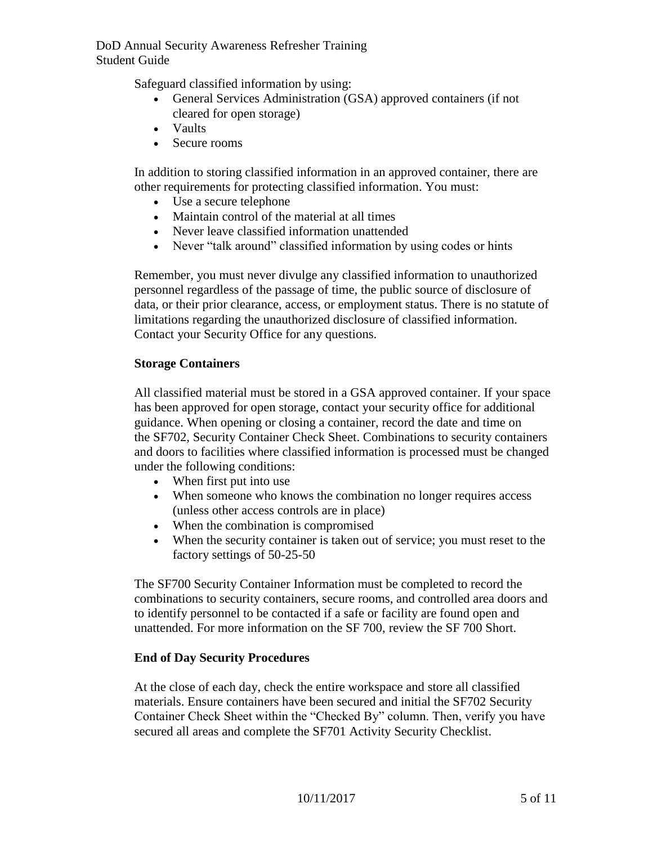Safeguard classified information by using:

- General Services Administration (GSA) approved containers (if not cleared for open storage)
- Vaults
- Secure rooms

In addition to storing classified information in an approved container, there are other requirements for protecting classified information. You must:

- Use a secure telephone
- Maintain control of the material at all times
- Never leave classified information unattended
- Never "talk around" classified information by using codes or hints

Remember, you must never divulge any classified information to unauthorized personnel regardless of the passage of time, the public source of disclosure of data, or their prior clearance, access, or employment status. There is no statute of limitations regarding the unauthorized disclosure of classified information. Contact your Security Office for any questions.

### **Storage Containers**

All classified material must be stored in a GSA approved container. If your space has been approved for open storage, contact your security office for additional guidance. When opening or closing a container, record the date and time on the SF702, Security Container Check Sheet. Combinations to security containers and doors to facilities where classified information is processed must be changed under the following conditions:

- When first put into use
- When someone who knows the combination no longer requires access (unless other access controls are in place)
- When the combination is compromised
- When the security container is taken out of service; you must reset to the factory settings of 50-25-50

The SF700 Security Container Information must be completed to record the combinations to security containers, secure rooms, and controlled area doors and to identify personnel to be contacted if a safe or facility are found open and unattended. For more information on the SF 700, review the SF 700 Short.

### **End of Day Security Procedures**

At the close of each day, check the entire workspace and store all classified materials. Ensure containers have been secured and initial the SF702 Security Container Check Sheet within the "Checked By" column. Then, verify you have secured all areas and complete the SF701 Activity Security Checklist.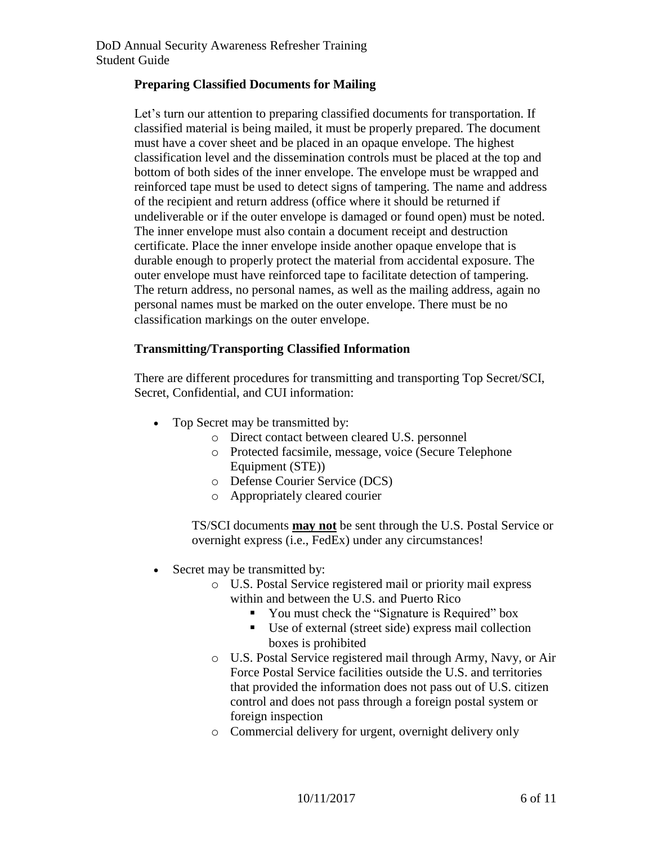### **Preparing Classified Documents for Mailing**

Let's turn our attention to preparing classified documents for transportation. If classified material is being mailed, it must be properly prepared. The document must have a cover sheet and be placed in an opaque envelope. The highest classification level and the dissemination controls must be placed at the top and bottom of both sides of the inner envelope. The envelope must be wrapped and reinforced tape must be used to detect signs of tampering. The name and address of the recipient and return address (office where it should be returned if undeliverable or if the outer envelope is damaged or found open) must be noted. The inner envelope must also contain a document receipt and destruction certificate. Place the inner envelope inside another opaque envelope that is durable enough to properly protect the material from accidental exposure. The outer envelope must have reinforced tape to facilitate detection of tampering. The return address, no personal names, as well as the mailing address, again no personal names must be marked on the outer envelope. There must be no classification markings on the outer envelope.

### **Transmitting/Transporting Classified Information**

 There are different procedures for transmitting and transporting Top Secret/SCI, Secret, Confidential, and CUI information:

- Top Secret may be transmitted by:
	- o Direct contact between cleared U.S. personnel
	- o Protected facsimile, message, voice (Secure Telephone Equipment (STE))
	- o Defense Courier Service (DCS)
	- o Appropriately cleared courier

TS/SCI documents **may not** be sent through the U.S. Postal Service or overnight express (i.e., FedEx) under any circumstances!

- Secret may be transmitted by:
	- o U.S. Postal Service registered mail or priority mail express within and between the U.S. and Puerto Rico
		- **•** You must check the "Signature is Required" box
		- Use of external (street side) express mail collection boxes is prohibited
	- o U.S. Postal Service registered mail through Army, Navy, or Air Force Postal Service facilities outside the U.S. and territories that provided the information does not pass out of U.S. citizen control and does not pass through a foreign postal system or foreign inspection
	- o Commercial delivery for urgent, overnight delivery only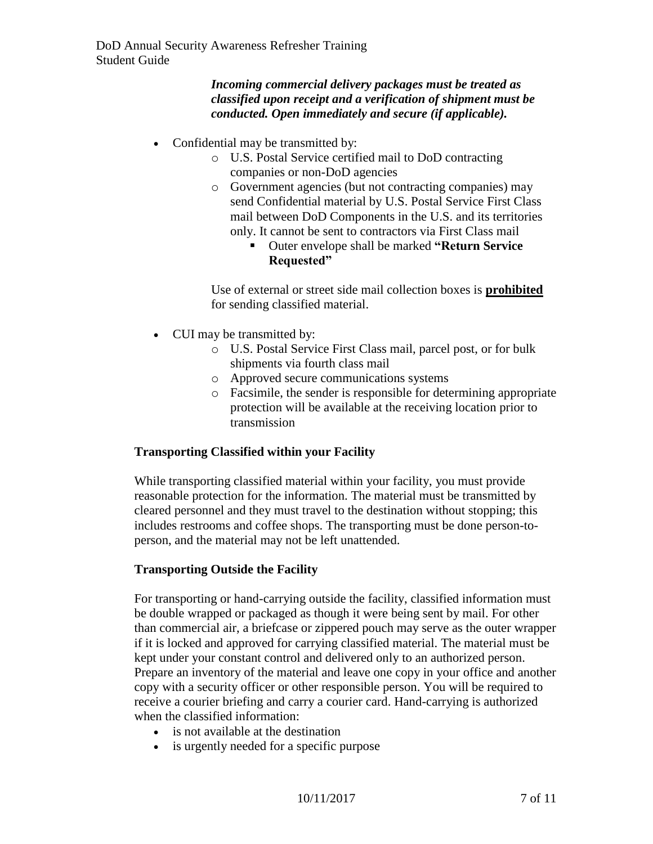*Incoming commercial delivery packages must be treated as classified upon receipt and a verification of shipment must be conducted. Open immediately and secure (if applicable).* 

- Confidential may be transmitted by:
	- o U.S. Postal Service certified mail to DoD contracting companies or non-DoD agencies
	- o Government agencies (but not contracting companies) may send Confidential material by U.S. Postal Service First Class mail between DoD Components in the U.S. and its territories only. It cannot be sent to contractors via First Class mail
		- Outer envelope shall be marked **"Return Service Requested"**

Use of external or street side mail collection boxes is **prohibited** for sending classified material.

- CUI may be transmitted by:
	- o U.S. Postal Service First Class mail, parcel post, or for bulk shipments via fourth class mail
	- o Approved secure communications systems
	- o Facsimile, the sender is responsible for determining appropriate protection will be available at the receiving location prior to transmission

## **Transporting Classified within your Facility**

While transporting classified material within your facility, you must provide reasonable protection for the information. The material must be transmitted by cleared personnel and they must travel to the destination without stopping; this includes restrooms and coffee shops. The transporting must be done person-toperson, and the material may not be left unattended.

## **Transporting Outside the Facility**

For transporting or hand-carrying outside the facility, classified information must be double wrapped or packaged as though it were being sent by mail. For other than commercial air, a briefcase or zippered pouch may serve as the outer wrapper if it is locked and approved for carrying classified material. The material must be kept under your constant control and delivered only to an authorized person. Prepare an inventory of the material and leave one copy in your office and another copy with a security officer or other responsible person. You will be required to receive a courier briefing and carry a courier card. Hand-carrying is authorized when the classified information:

- is not available at the destination
- is urgently needed for a specific purpose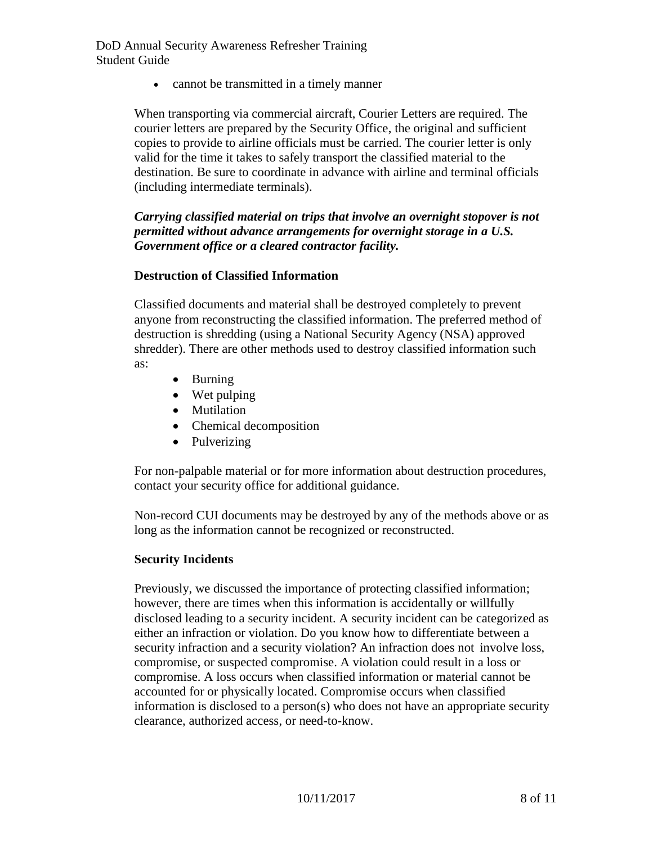cannot be transmitted in a timely manner

When transporting via commercial aircraft, Courier Letters are required. The courier letters are prepared by the Security Office, the original and sufficient copies to provide to airline officials must be carried. The courier letter is only valid for the time it takes to safely transport the classified material to the destination. Be sure to coordinate in advance with airline and terminal officials (including intermediate terminals).

*Carrying classified material on trips that involve an overnight stopover is not permitted without advance arrangements for overnight storage in a U.S. Government office or a cleared contractor facility.*

### **Destruction of Classified Information**

 Classified documents and material shall be destroyed completely to prevent anyone from reconstructing the classified information. The preferred method of destruction is shredding (using a National Security Agency (NSA) approved shredder). There are other methods used to destroy classified information such as:

- Burning
- Wet pulping
- Mutilation
- Chemical decomposition
- Pulverizing

For non-palpable material or for more information about destruction procedures, contact your security office for additional guidance.

Non-record CUI documents may be destroyed by any of the methods above or as long as the information cannot be recognized or reconstructed.

### **Security Incidents**

Previously, we discussed the importance of protecting classified information; however, there are times when this information is accidentally or willfully disclosed leading to a security incident. A security incident can be categorized as either an infraction or violation. Do you know how to differentiate between a security infraction and a security violation? An infraction does not involve loss, compromise, or suspected compromise. A violation could result in a loss or compromise. A loss occurs when classified information or material cannot be accounted for or physically located. Compromise occurs when classified information is disclosed to a person(s) who does not have an appropriate security clearance, authorized access, or need-to-know.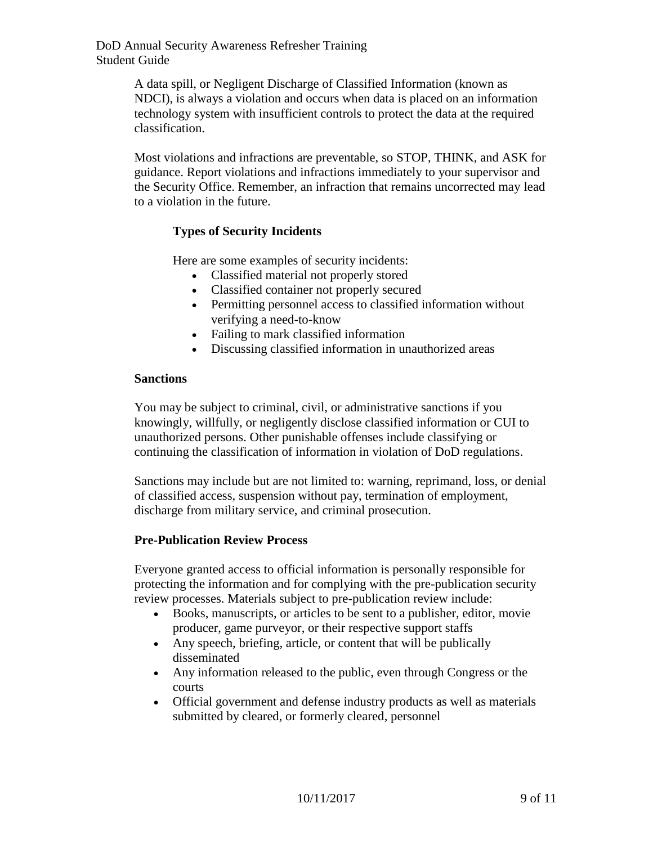> A data spill, or Negligent Discharge of Classified Information (known as NDCI), is always a violation and occurs when data is placed on an information technology system with insufficient controls to protect the data at the required classification.

Most violations and infractions are preventable, so STOP, THINK, and ASK for guidance. Report violations and infractions immediately to your supervisor and the Security Office. Remember, an infraction that remains uncorrected may lead to a violation in the future.

### **Types of Security Incidents**

Here are some examples of security incidents:

- Classified material not properly stored
- Classified container not properly secured
- Permitting personnel access to classified information without verifying a need-to-know
- Failing to mark classified information
- Discussing classified information in unauthorized areas

#### **Sanctions**

You may be subject to criminal, civil, or administrative sanctions if you knowingly, willfully, or negligently disclose classified information or CUI to unauthorized persons. Other punishable offenses include classifying or continuing the classification of information in violation of DoD regulations.

Sanctions may include but are not limited to: warning, reprimand, loss, or denial of classified access, suspension without pay, termination of employment, discharge from military service, and criminal prosecution.

### **Pre-Publication Review Process**

Everyone granted access to official information is personally responsible for protecting the information and for complying with the pre-publication security review processes. Materials subject to pre-publication review include:

- Books, manuscripts, or articles to be sent to a publisher, editor, movie producer, game purveyor, or their respective support staffs
- Any speech, briefing, article, or content that will be publically disseminated
- Any information released to the public, even through Congress or the courts
- Official government and defense industry products as well as materials submitted by cleared, or formerly cleared, personnel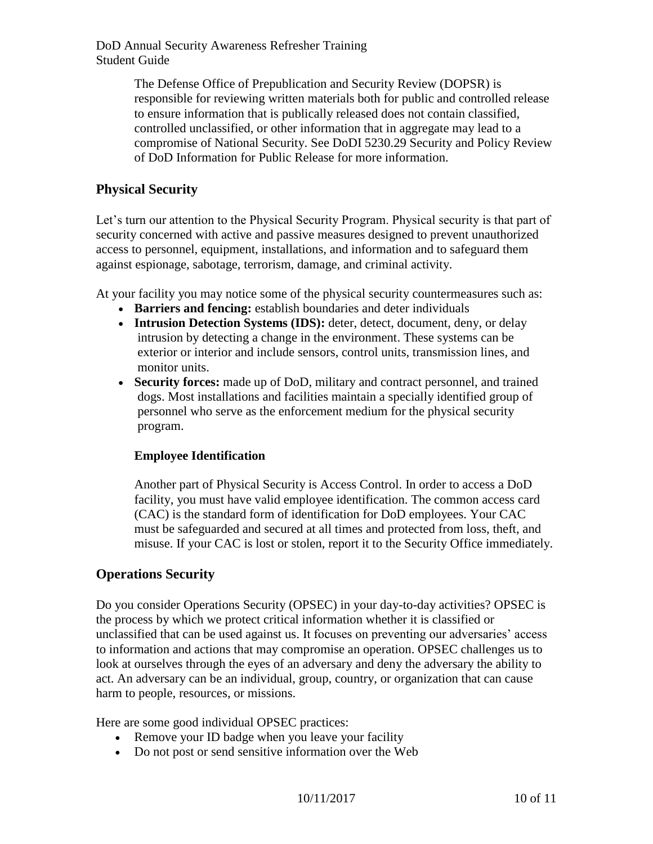> The Defense Office of Prepublication and Security Review (DOPSR) is responsible for reviewing written materials both for public and controlled release to ensure information that is publically released does not contain classified, controlled unclassified, or other information that in aggregate may lead to a compromise of National Security. See DoDI 5230.29 Security and Policy Review of DoD Information for Public Release for more information.

# **Physical Security**

Let's turn our attention to the Physical Security Program. Physical security is that part of security concerned with active and passive measures designed to prevent unauthorized access to personnel, equipment, installations, and information and to safeguard them against espionage, sabotage, terrorism, damage, and criminal activity.

At your facility you may notice some of the physical security countermeasures such as:

- **Barriers and fencing:** establish boundaries and deter individuals
- Intrusion Detection Systems (IDS): deter, detect, document, deny, or delay intrusion by detecting a change in the environment. These systems can be exterior or interior and include sensors, control units, transmission lines, and monitor units.
- **Security forces:** made up of DoD, military and contract personnel, and trained dogs. Most installations and facilities maintain a specially identified group of personnel who serve as the enforcement medium for the physical security program.

## **Employee Identification**

Another part of Physical Security is Access Control. In order to access a DoD facility, you must have valid employee identification. The common access card (CAC) is the standard form of identification for DoD employees. Your CAC must be safeguarded and secured at all times and protected from loss, theft, and misuse. If your CAC is lost or stolen, report it to the Security Office immediately.

# **Operations Security**

Do you consider Operations Security (OPSEC) in your day-to-day activities? OPSEC is the process by which we protect critical information whether it is classified or unclassified that can be used against us. It focuses on preventing our adversaries' access to information and actions that may compromise an operation. OPSEC challenges us to look at ourselves through the eyes of an adversary and deny the adversary the ability to act. An adversary can be an individual, group, country, or organization that can cause harm to people, resources, or missions.

Here are some good individual OPSEC practices:

- Remove your ID badge when you leave your facility
- Do not post or send sensitive information over the Web